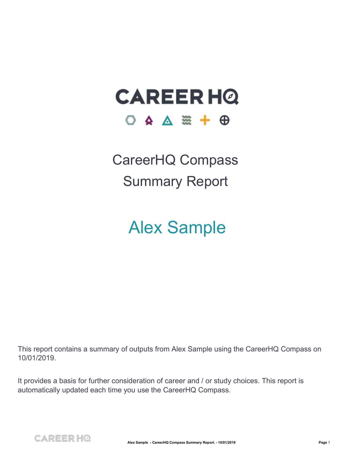### **CAREER HQ** O A A  $\frac{1}{20}$  +  $\frac{1}{20}$

CareerHQ Compass Summary Report

#### Alex Sample

This report contains a summary of outputs from Alex Sample using the CareerHQ Compass on 10/01/2019.

It provides a basis for further consideration of careerand / or study choices. This report is automatically updated each time you use the CareerHQ Compass.

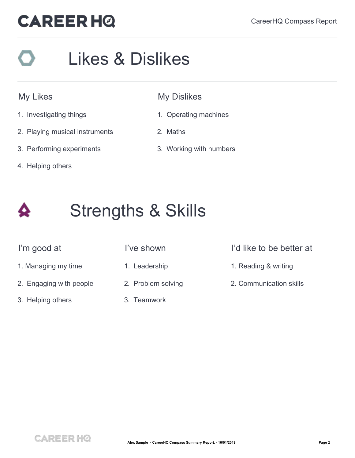# Likes & Dislikes

#### My Likes

- 1. Investigating things
- 2. Playing musical instruments
- 3. Performing experiments
- 4. Helping others

#### My Dislikes

- 1. Operating machines
- 2. Maths
- 3. Working with numbers



### Strengths & Skills

- 
- 2. Engaging with people
- 3. Helping others
- 
- 
- 2. Problem solving
- 3. Teamwork

#### I'm good at I've shown I'd like to be better at

- 1. Managing my time **1.** Leadership 1. Keading & writing
	- 2. Communication skills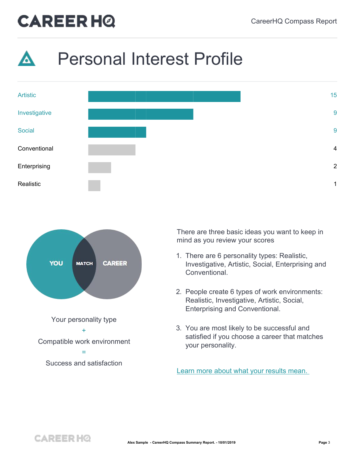





There are three basic ideas you want to keep in mind as you review your scores

- 1. There are 6 personality types: Realistic, Investigative, Artistic, Social, Enterprising and Conventional.
- 2. People create 6 types of work environments: Realistic, Investigative, Artistic, Social, Enterprising and Conventional.
- 3. You are most likely to be successful and satisfied if you choose a career that matches your personality.

Learn more about what your [results](https://careerhq.com.au/personal_interests_explanation) mean.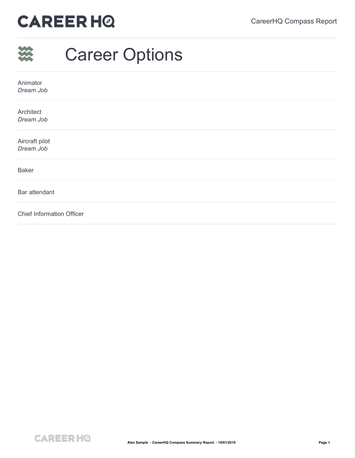|                                  | <b>Career Options</b> |
|----------------------------------|-----------------------|
| Animator<br>Dream Job            |                       |
| Architect<br>Dream Job           |                       |
| Aircraft pilot<br>Dream Job      |                       |
| <b>Baker</b>                     |                       |
| Bar attendant                    |                       |
| <b>Chief Information Officer</b> |                       |

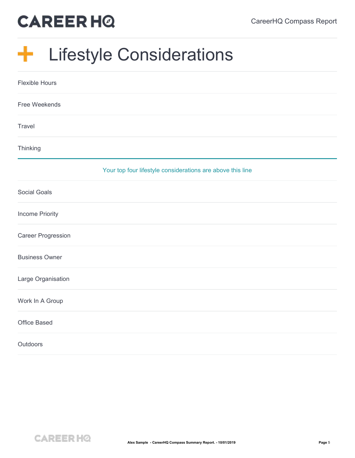#### $\frac{1}{\sqrt{2}}$ Lifestyle Considerations

| <b>Flexible Hours</b>     |                                                            |
|---------------------------|------------------------------------------------------------|
| Free Weekends             |                                                            |
| Travel                    |                                                            |
| Thinking                  |                                                            |
|                           | Your top four lifestyle considerations are above this line |
| <b>Social Goals</b>       |                                                            |
| <b>Income Priority</b>    |                                                            |
| <b>Career Progression</b> |                                                            |
| <b>Business Owner</b>     |                                                            |
| Large Organisation        |                                                            |
| Work In A Group           |                                                            |
| <b>Office Based</b>       |                                                            |
| Outdoors                  |                                                            |

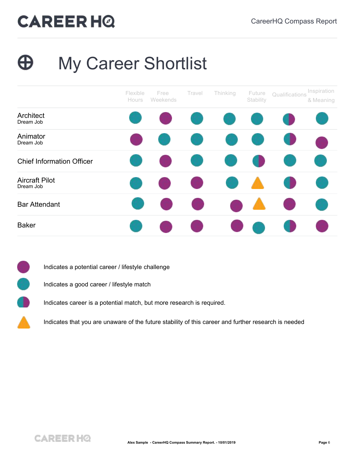#### My Career Shortlist Ð





- Indicates a good career / lifestyle match
- Indicates career is a potential match, but more research is required.
	- Indicates that you are unaware of the future stability of this career and further research is needed